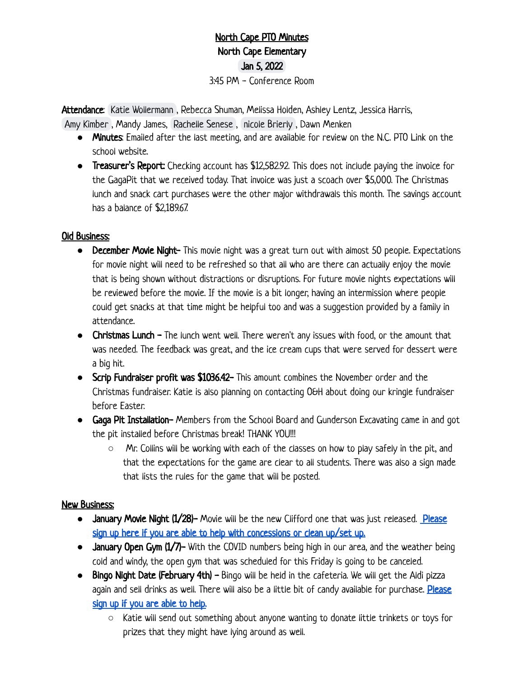## North Cape PTO Minutes North Cape Elementary Jan 5, 2022 3:45 PM - Conference Room

Attendance: [Katie Wollermann](mailto:katie.wollermann@gmail.com), Rebecca Shuman, Melissa Holden, Ashley Lentz, Jessica Harris, [Amy Kimber](mailto:akimber711@icloud.com) , Mandy James, [Rachelle Senese](mailto:rsenese@northcape.k12.wi.us) , [nicole Brierly](mailto:brierly@me.com) , Dawn Menken

- **●** Minutes: Emailed after the last meeting, and are available for review on the N.C. PTO Link on the school website.
- **●** Treasurer's Report: Checking account has \$12,582.92. This does not include paying the invoice for the GagaPit that we received today. That invoice was just a scoach over \$5,000. The Christmas lunch and snack cart purchases were the other major withdrawals this month. The savings account has a balance of \$2,189.67.

## Old Business:

- **●** December Movie Night- This movie night was a great turn out with almost 50 people. Expectations for movie night will need to be refreshed so that all who are there can actually enjoy the movie that is being shown without distractions or disruptions. For future movie nights expectations will be reviewed before the movie. If the movie is a bit longer, having an intermission where people could get snacks at that time might be helpful too and was a suggestion provided by a family in attendance.
- **●** Christmas Lunch The lunch went well. There weren't any issues with food, or the amount that was needed. The feedback was great, and the ice cream cups that were served for dessert were a big hit.
- **●** Scrip Fundraiser profit was \$1036.42- This amount combines the November order and the Christmas fundraiser. Katie is also planning on contacting O&H about doing our kringle fundraiser before Easter.
- **●** Gaga Pit Installation- Members from the School Board and Gunderson Excavating came in and got the pit installed before Christmas break! THANK YOU!!!
	- **○** Mr. Collins will be working with each of the classes on how to play safely in the pit, and that the expectations for the game are clear to all students. There was also a sign made that lists the rules for the game that will be posted.

## New Business:

- **•** January Movie Night (1/28)- Movie will be the new Clifford one that was just released. [Please](https://docs.google.com/document/d/1Unr0dbGhPWfmpZBNtM6TfI9j3qRjnJxAH-LgbSAmiLY/edit?usp=sharing) [sign up here if you are able to help with concessions or clean up/set up.](https://docs.google.com/document/d/1Unr0dbGhPWfmpZBNtM6TfI9j3qRjnJxAH-LgbSAmiLY/edit?usp=sharing)
- **•** January Open Gym (1/7)- With the COVID numbers being high in our area, and the weather being cold and windy, the open gym that was scheduled for this Friday is going to be canceled.
- **Bingo Night Date (February 4th) Bingo will be held in the cafeteria. We will get the Aldi pizza** again and sell drinks as well. There will also be a little bit of candy available for purchase. [Please](https://docs.google.com/document/d/1Unr0dbGhPWfmpZBNtM6TfI9j3qRjnJxAH-LgbSAmiLY/edit?usp=sharing) [sign up if you are able to help.](https://docs.google.com/document/d/1Unr0dbGhPWfmpZBNtM6TfI9j3qRjnJxAH-LgbSAmiLY/edit?usp=sharing)
	- **○** Katie will send out something about anyone wanting to donate little trinkets or toys for prizes that they might have lying around as well.